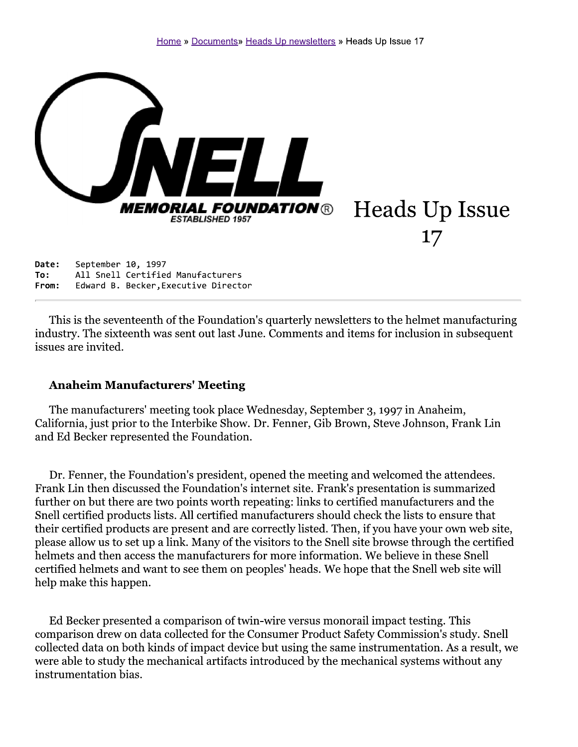

#### Anaheim Manufacturers' Meeting

The manufacturers' meeting took place Wednesday, September 3, 1997 in Anaheim, California, just prior to the Interbike Show. Dr. Fenner, Gib Brown, Steve Johnson, Frank Lin and Ed Becker represented the Foundation.

Dr. Fenner, the Foundation's president, opened the meeting and welcomed the attendees. Frank Lin then discussed the Foundation's internet site. Frank's presentation is summarized further on but there are two points worth repeating: links to certified manufacturers and the Snell certified products lists. All certified manufacturers should check the lists to ensure that their certified products are present and are correctly listed. Then, if you have your own web site, please allow us to set up a link. Many of the visitors to the Snell site browse through the certified helmets and then access the manufacturers for more information. We believe in these Snell certified helmets and want to see them on peoples' heads. We hope that the Snell web site will help make this happen.

Ed Becker presented a comparison of twin-wire versus monorail impact testing. This comparison drew on data collected for the Consumer Product Safety Commission's study. Snell collected data on both kinds of impact device but using the same instrumentation. As a result, we were able to study the mechanical artifacts introduced by the mechanical systems without any instrumentation bias.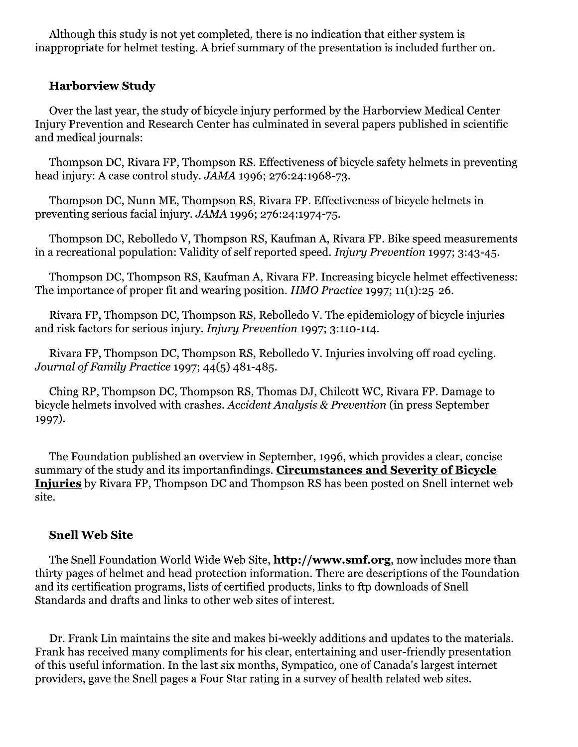Although this study is not yet completed, there is no indication that either system is inappropriate for helmet testing. A brief summary of the presentation is included further on.

#### **Harborview Study**

Over the last year, the study of bicycle injury performed by the Harborview Medical Center Injury Prevention and Research Center has culminated in several papers published in scientific and medical journals:

Thompson DC, Rivara FP, Thompson RS. Effectiveness of bicycle safety helmets in preventing head injury: A case control study. *JAMA* 1996; 276:24:1968-73.

Thompson DC, Nunn ME, Thompson RS, Rivara FP. Effectiveness of bicycle helmets in preventing serious facial injury. JAMA 1996; 276:24:1974-75.

Thompson DC, Rebolledo V, Thompson RS, Kaufman A, Rivara FP. Bike speed measurements in a recreational population: Validity of self reported speed. Injury Prevention 1997; 3:43-45.

Thompson DC, Thompson RS, Kaufman A, Rivara FP. Increasing bicycle helmet effectiveness: The importance of proper fit and wearing position. *HMO Practice* 1997; 11(1):25-26.

Rivara FP, Thompson DC, Thompson RS, Rebolledo V. The epidemiology of bicycle injuries and risk factors for serious injury. Injury Prevention 1997; 3:110-114.

Rivara FP, Thompson DC, Thompson RS, Rebolledo V. Injuries involving off road cycling. Journal of Family Practice 1997; 44(5) 481-485.

Ching RP, Thompson DC, Thompson RS, Thomas DJ, Chilcott WC, Rivara FP. Damage to bicycle helmets involved with crashes. Accident Analysis & Prevention (in press September 1997).

The Foundation published an overview in September, 1996, which provides a clear, concise summary of the study and its importanfindings. Circumstances and Severity of Bicycle **Injuries** by Rivara FP, Thompson DC and Thompson RS has been posted on Snell internet web site.

### **Snell Web Site**

The Snell Foundation World Wide Web Site, http://www.smf.org, now includes more than thirty pages of helmet and head protection information. There are descriptions of the Foundation and its certification programs, lists of certified products, links to ftp downloads of Snell Standards and drafts and links to other web sites of interest.

Dr. Frank Lin maintains the site and makes bi-weekly additions and updates to the materials. Frank has received many compliments for his clear, entertaining and user-friendly presentation of this useful information. In the last six months, Sympatico, one of Canada's largest internet providers, gave the Snell pages a Four Star rating in a survey of health related web sites.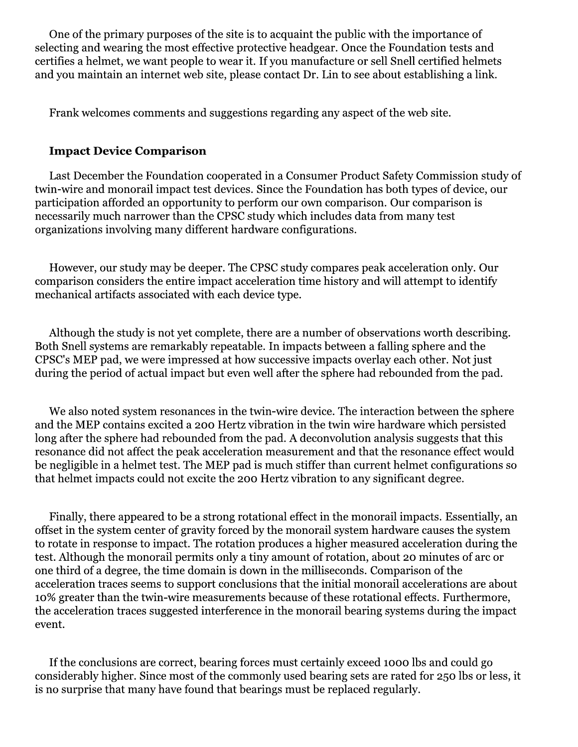One of the primary purposes of the site is to acquaint the public with the importance of selecting and wearing the most effective protective headgear. Once the Foundation tests and certifies a helmet, we want people to wear it. If you manufacture or sell Snell certified helmets and you maintain an internet web site, please contact Dr. Lin to see about establishing a link.

Frank welcomes comments and suggestions regarding any aspect of the web site.

## **Impact Device Comparison**

Last December the Foundation cooperated in a Consumer Product Safety Commission study of twin-wire and monorail impact test devices. Since the Foundation has both types of device, our participation afforded an opportunity to perform our own comparison. Our comparison is necessarily much narrower than the CPSC study which includes data from many test organizations involving many different hardware configurations.

However, our study may be deeper. The CPSC study compares peak acceleration only. Our comparison considers the entire impact acceleration time history and will attempt to identify mechanical artifacts associated with each device type.

Although the study is not yet complete, there are a number of observations worth describing. Both Snell systems are remarkably repeatable. In impacts between a falling sphere and the CPSC's MEP pad, we were impressed at how successive impacts overlay each other. Not just during the period of actual impact but even well after the sphere had rebounded from the pad.

We also noted system resonances in the twin-wire device. The interaction between the sphere and the MEP contains excited a 200 Hertz vibration in the twin wire hardware which persisted long after the sphere had rebounded from the pad. A deconvolution analysis suggests that this resonance did not affect the peak acceleration measurement and that the resonance effect would be negligible in a helmet test. The MEP pad is much stiffer than current helmet configurations so that helmet impacts could not excite the 200 Hertz vibration to any significant degree.

Finally, there appeared to be a strong rotational effect in the monorail impacts. Essentially, an offset in the system center of gravity forced by the monorail system hardware causes the system to rotate in response to impact. The rotation produces a higher measured acceleration during the test. Although the monorail permits only a tiny amount of rotation, about 20 minutes of arc or one third of a degree, the time domain is down in the milliseconds. Comparison of the acceleration traces seems to support conclusions that the initial monorail accelerations are about 10% greater than the twin-wire measurements because of these rotational effects. Furthermore, the acceleration traces suggested interference in the monorail bearing systems during the impact event.

If the conclusions are correct, bearing forces must certainly exceed 1000 lbs and could go considerably higher. Since most of the commonly used bearing sets are rated for 250 lbs or less, it is no surprise that many have found that bearings must be replaced regularly.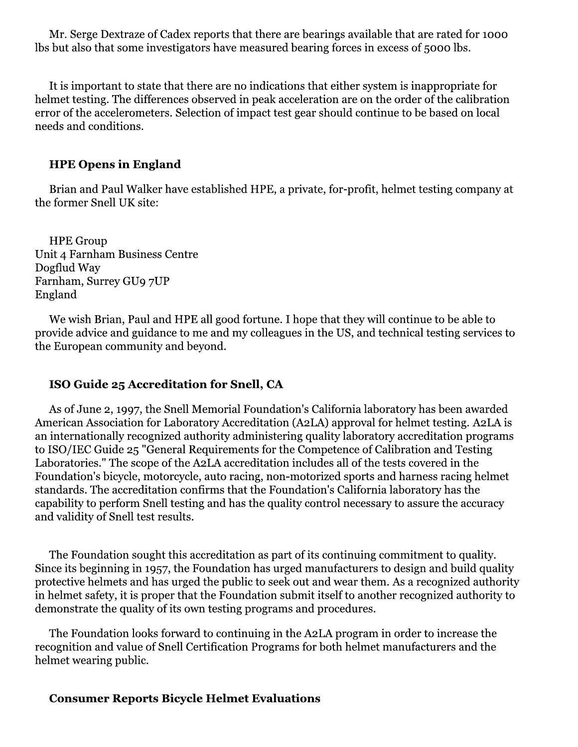Mr. Serge Dextraze of Cadex reports that there are bearings available that are rated for 1000 lbs but also that some investigators have measured bearing forces in excess of 5000 lbs.

It is important to state that there are no indications that either system is inappropriate for helmet testing. The differences observed in peak acceleration are on the order of the calibration error of the accelerometers. Selection of impact test gear should continue to be based on local needs and conditions.

#### **HPE Opens in England**

Brian and Paul Walker have established HPE, a private, for-profit, helmet testing company at the former Snell UK site:

**HPE Group** Unit 4 Farnham Business Centre Dogflud Way Farnham, Surrey GU9 7UP England

We wish Brian, Paul and HPE all good fortune. I hope that they will continue to be able to provide advice and guidance to me and my colleagues in the US, and technical testing services to the European community and beyond.

#### ISO Guide 25 Accreditation for Snell, CA

As of June 2, 1997, the Snell Memorial Foundation's California laboratory has been awarded American Association for Laboratory Accreditation (A2LA) approval for helmet testing. A2LA is an internationally recognized authority administering quality laboratory accreditation programs to ISO/IEC Guide 25 "General Requirements for the Competence of Calibration and Testing Laboratories." The scope of the A2LA accreditation includes all of the tests covered in the Foundation's bicycle, motorcycle, auto racing, non-motorized sports and harness racing helmet standards. The accreditation confirms that the Foundation's California laboratory has the capability to perform Snell testing and has the quality control necessary to assure the accuracy and validity of Snell test results.

The Foundation sought this accreditation as part of its continuing commitment to quality. Since its beginning in 1957, the Foundation has urged manufacturers to design and build quality protective helmets and has urged the public to seek out and wear them. As a recognized authority in helmet safety, it is proper that the Foundation submit itself to another recognized authority to demonstrate the quality of its own testing programs and procedures.

The Foundation looks forward to continuing in the A2LA program in order to increase the recognition and value of Snell Certification Programs for both helmet manufacturers and the helmet wearing public.

#### **Consumer Reports Bicycle Helmet Evaluations**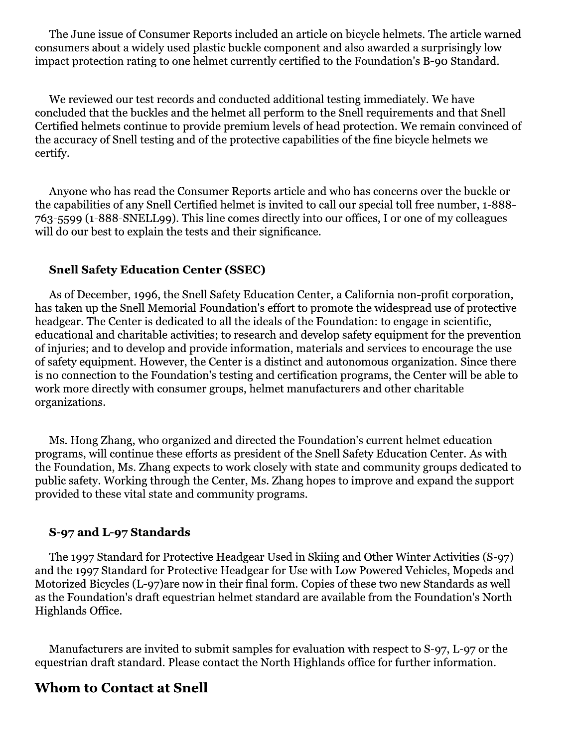The June issue of Consumer Reports included an article on bicycle helmets. The article warned consumers about a widely used plastic buckle component and also awarded a surprisingly low impact protection rating to one helmet currently certified to the Foundation's B-90 Standard.

We reviewed our test records and conducted additional testing immediately. We have concluded that the buckles and the helmet all perform to the Snell requirements and that Snell Certified helmets continue to provide premium levels of head protection. We remain convinced of the accuracy of Snell testing and of the protective capabilities of the fine bicycle helmets we certify.

Anyone who has read the Consumer Reports article and who has concerns over the buckle or the capabilities of any Snell Certified helmet is invited to call our special toll free number, 1-888-763-5599 (1-888-SNELL99). This line comes directly into our offices, I or one of my colleagues will do our best to explain the tests and their significance.

#### **Snell Safety Education Center (SSEC)**

As of December, 1996, the Snell Safety Education Center, a California non-profit corporation, has taken up the Snell Memorial Foundation's effort to promote the widespread use of protective headgear. The Center is dedicated to all the ideals of the Foundation: to engage in scientific, educational and charitable activities; to research and develop safety equipment for the prevention of injuries; and to develop and provide information, materials and services to encourage the use of safety equipment. However, the Center is a distinct and autonomous organization. Since there is no connection to the Foundation's testing and certification programs, the Center will be able to work more directly with consumer groups, helmet manufacturers and other charitable organizations.

Ms. Hong Zhang, who organized and directed the Foundation's current helmet education programs, will continue these efforts as president of the Snell Safety Education Center. As with the Foundation, Ms. Zhang expects to work closely with state and community groups dedicated to public safety. Working through the Center, Ms. Zhang hopes to improve and expand the support provided to these vital state and community programs.

#### S-97 and L-97 Standards

The 1997 Standard for Protective Headgear Used in Skiing and Other Winter Activities (S-97) and the 1997 Standard for Protective Headgear for Use with Low Powered Vehicles, Mopeds and Motorized Bicycles (L-97) are now in their final form. Copies of these two new Standards as well as the Foundation's draft equestrian helmet standard are available from the Foundation's North Highlands Office.

Manufacturers are invited to submit samples for evaluation with respect to S-97, L-97 or the equestrian draft standard. Please contact the North Highlands office for further information.

# **Whom to Contact at Snell**